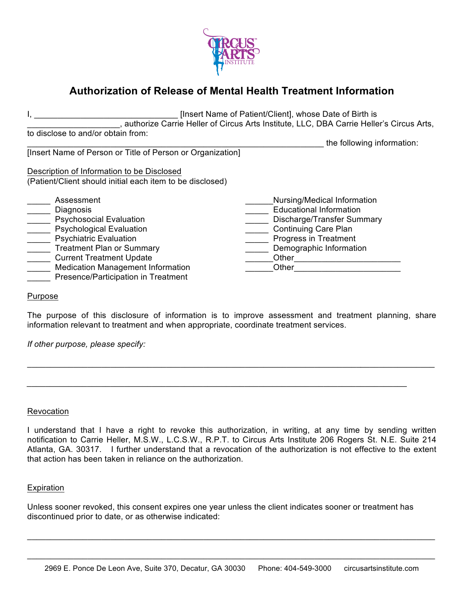

# **Authorization of Release of Mental Health Treatment Information**

I, \_\_\_\_\_\_\_\_\_\_\_\_\_\_\_\_\_\_\_\_\_\_\_\_\_\_\_\_\_\_\_ [Insert Name of Patient/Client], whose Date of Birth is \_\_\_\_\_\_\_\_\_\_\_\_\_\_\_\_\_\_\_\_, authorize Carrie Heller of Circus Arts Institute, LLC, DBA Carrie Heller's Circus Arts, to disclose to and/or obtain from: \_\_\_\_\_\_\_\_\_\_\_\_\_\_\_\_\_\_\_\_\_\_\_\_\_\_\_\_\_the following information: [Insert Name of Person or Title of Person or Organization] Description of Information to be Disclosed (Patient/Client should initial each item to be disclosed) \_\_\_\_\_ Assessment \_\_\_\_\_ Diagnosis \_\_\_\_\_ Psychosocial Evaluation \_\_\_\_\_ Psychological Evaluation **Example 21 Psychiatric Evaluation Treatment Plan or Summary EXECUTE:** Current Treatment Update \_\_\_\_\_ Medication Management Information **Example 2** Presence/Participation in Treatment \_\_\_\_\_\_Nursing/Medical Information \_\_\_\_\_ Educational Information \_\_\_\_\_ Discharge/Transfer Summary \_\_\_\_\_ Continuing Care Plan **Example 25 Progress in Treatment Late 2** Demographic Information \_\_\_\_\_Other\_\_\_\_\_\_\_\_\_\_\_\_\_\_\_\_\_\_\_\_\_\_\_\_\_\_\_\_\_ \_\_\_\_\_\_Other\_\_\_\_\_\_\_\_\_\_\_\_\_\_\_\_\_\_\_\_\_\_\_

### Purpose

The purpose of this disclosure of information is to improve assessment and treatment planning, share information relevant to treatment and when appropriate, coordinate treatment services.

\_\_\_\_\_\_\_\_\_\_\_\_\_\_\_\_\_\_\_\_\_\_\_\_\_\_\_\_\_\_\_\_\_\_\_\_\_\_\_\_\_\_\_\_\_\_\_\_\_\_\_\_\_\_\_\_\_\_\_\_\_\_\_\_\_\_\_\_\_\_\_\_*\_\_\_\_\_\_\_\_\_\_\_\_\_\_\_\_*

*\_\_\_\_\_\_\_\_\_\_\_\_\_\_\_\_\_\_\_\_\_\_\_\_\_\_\_\_\_\_\_\_\_\_\_\_\_\_\_\_\_\_\_\_\_\_\_\_\_\_\_\_\_\_\_\_\_\_\_\_\_\_\_\_\_\_\_\_\_\_\_\_\_\_\_\_\_\_\_\_\_\_*

*If other purpose, please specify:* 

#### Revocation

I understand that I have a right to revoke this authorization, in writing, at any time by sending written notification to Carrie Heller, M.S.W., L.C.S.W., R.P.T. to Circus Arts Institute 206 Rogers St. N.E. Suite 214 Atlanta, GA. 30317. I further understand that a revocation of the authorization is not effective to the extent that action has been taken in reliance on the authorization.

#### Expiration

Unless sooner revoked, this consent expires one year unless the client indicates sooner or treatment has discontinued prior to date, or as otherwise indicated:

\_\_\_\_\_\_\_\_\_\_\_\_\_\_\_\_\_\_\_\_\_\_\_\_\_\_\_\_\_\_\_\_\_\_\_\_\_\_\_\_\_\_\_\_\_\_\_\_\_\_\_\_\_\_\_\_\_\_\_\_\_\_\_\_\_\_\_\_\_\_\_\_\_\_\_\_\_\_\_\_\_\_\_\_\_\_\_\_